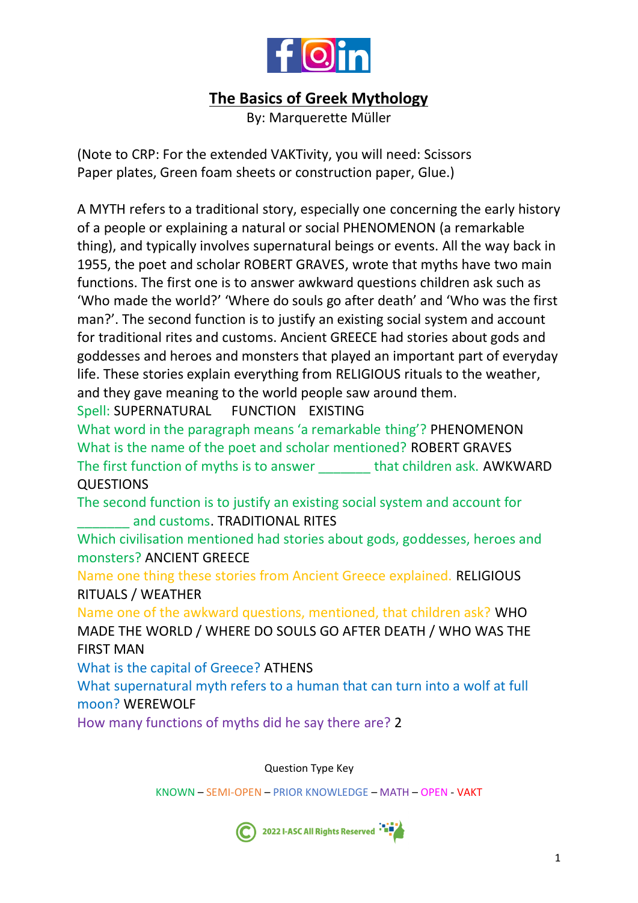

# **The Basics of Greek Mythology**

By: Marquerette Müller

(Note to CRP: For the extended VAKTivity, you will need: Scissors Paper plates, Green foam sheets or construction paper, Glue.)

A MYTH refers to a traditional story, especially one concerning the early history of a people or explaining a natural or social PHENOMENON (a remarkable thing), and typically involves supernatural beings or events. All the way back in 1955, the poet and scholar ROBERT GRAVES, wrote that myths have two main functions. The first one is to answer awkward questions children ask such as 'Who made the world?' 'Where do souls go after death' and 'Who was the first man?'. The second function is to justify an existing social system and account for traditional rites and customs. Ancient GREECE had stories about gods and goddesses and heroes and monsters that played an important part of everyday life. These stories explain everything from RELIGIOUS rituals to the weather, and they gave meaning to the world people saw around them.

Spell: SUPERNATURAL FUNCTION EXISTING

What word in the paragraph means 'a remarkable thing'? PHENOMENON What is the name of the poet and scholar mentioned? ROBERT GRAVES The first function of myths is to answer **that children ask. AWKWARD QUESTIONS** 

The second function is to justify an existing social system and account for and customs. TRADITIONAL RITES

Which civilisation mentioned had stories about gods, goddesses, heroes and monsters? ANCIENT GREECE

Name one thing these stories from Ancient Greece explained. RELIGIOUS RITUALS / WEATHER

Name one of the awkward questions, mentioned, that children ask? WHO MADE THE WORLD / WHERE DO SOULS GO AFTER DEATH / WHO WAS THE FIRST MAN

What is the capital of Greece? ATHENS

What supernatural myth refers to a human that can turn into a wolf at full moon? WEREWOLF

How many functions of myths did he say there are? 2

Question Type Key

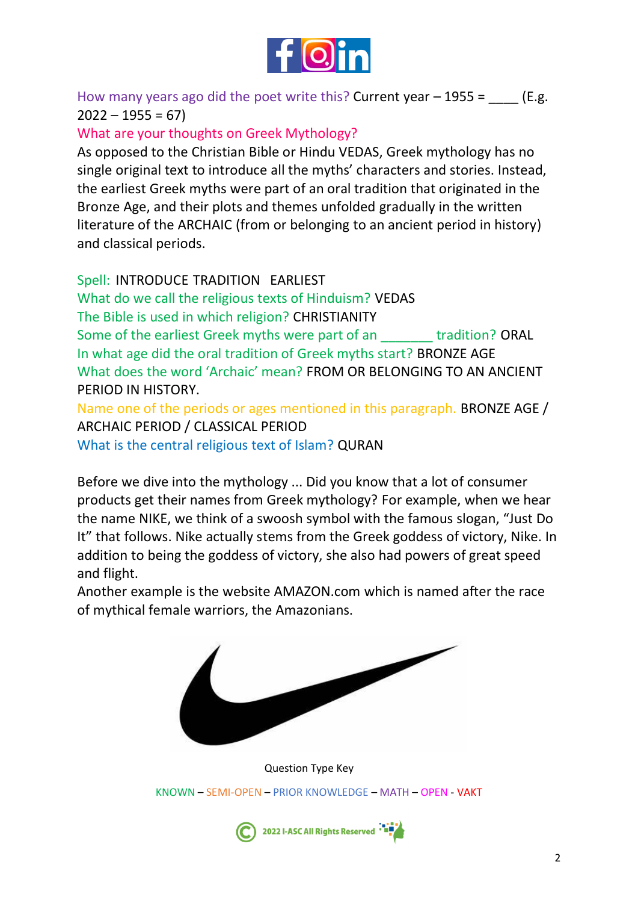

How many years ago did the poet write this? Current year  $-$  1955 =  $($ E.g.  $2022 - 1955 = 67$ 

What are your thoughts on Greek Mythology?

As opposed to the Christian Bible or Hindu VEDAS, Greek mythology has no single original text to introduce all the myths' characters and stories. Instead, the earliest Greek myths were part of an oral tradition that originated in the Bronze Age, and their plots and themes unfolded gradually in the written literature of the ARCHAIC (from or belonging to an ancient period in history) and classical periods.

Spell: INTRODUCE TRADITION EARLIEST

What do we call the religious texts of Hinduism? VEDAS The Bible is used in which religion? CHRISTIANITY Some of the earliest Greek myths were part of an Tradition? ORAL In what age did the oral tradition of Greek myths start? BRONZE AGE What does the word 'Archaic' mean? FROM OR BELONGING TO AN ANCIENT PERIOD IN HISTORY.

Name one of the periods or ages mentioned in this paragraph. BRONZE AGE / ARCHAIC PERIOD / CLASSICAL PERIOD What is the central religious text of Islam? QURAN

Before we dive into the mythology ... Did you know that a lot of consumer products get their names from Greek mythology? For example, when we hear the name NIKE, we think of a swoosh symbol with the famous slogan, "Just Do It" that follows. Nike actually stems from the Greek goddess of victory, Nike. In addition to being the goddess of victory, she also had powers of great speed and flight.

Another example is the website AMAZON.com which is named after the race of mythical female warriors, the Amazonians.



Question Type Key KNOWN – SEMI-OPEN – PRIOR KNOWLEDGE – MATH – OPEN - VAKT

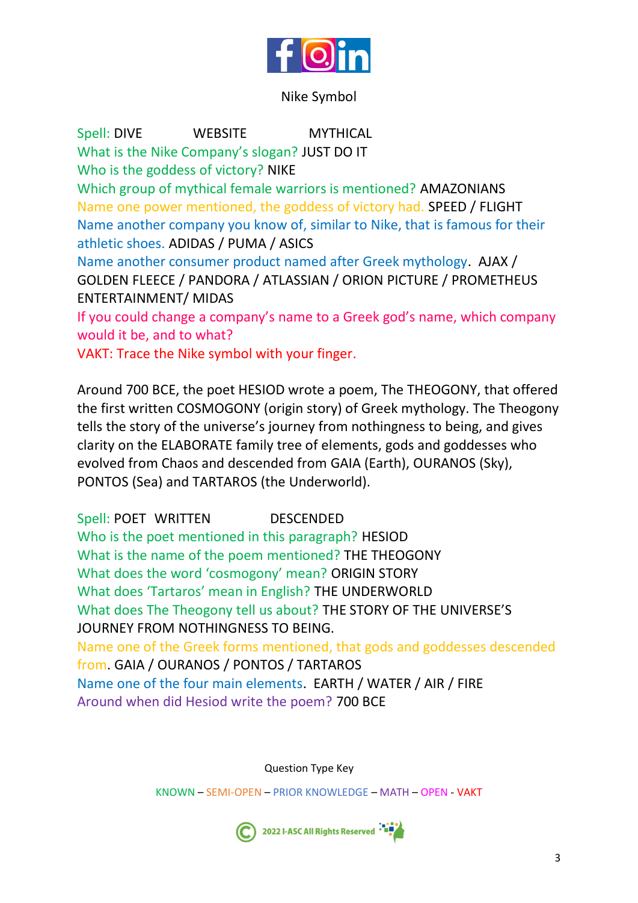

#### Nike Symbol

Spell: DIVE WEBSITE MYTHICAL What is the Nike Company's slogan? JUST DO IT Who is the goddess of victory? NIKE Which group of mythical female warriors is mentioned? AMAZONIANS Name one power mentioned, the goddess of victory had. SPEED / FLIGHT Name another company you know of, similar to Nike, that is famous for their athletic shoes. ADIDAS / PUMA / ASICS Name another consumer product named after Greek mythology. AJAX / GOLDEN FLEECE / PANDORA / ATLASSIAN / ORION PICTURE / PROMETHEUS ENTERTAINMENT/ MIDAS If you could change a company's name to a Greek god's name, which company would it be, and to what?

VAKT: Trace the Nike symbol with your finger.

Around 700 BCE, the poet HESIOD wrote a poem, The THEOGONY, that offered the first written COSMOGONY (origin story) of Greek mythology. The Theogony tells the story of the universe's journey from nothingness to being, and gives clarity on the ELABORATE family tree of elements, gods and goddesses who evolved from Chaos and descended from GAIA (Earth), OURANOS (Sky), PONTOS (Sea) and TARTAROS (the Underworld).

Spell: POET WRITTEN DESCENDED Who is the poet mentioned in this paragraph? HESIOD What is the name of the poem mentioned? THE THEOGONY What does the word 'cosmogony' mean? ORIGIN STORY What does 'Tartaros' mean in English? THE UNDERWORLD What does The Theogony tell us about? THE STORY OF THE UNIVERSE'S JOURNEY FROM NOTHINGNESS TO BEING. Name one of the Greek forms mentioned, that gods and goddesses descended from. GAIA / OURANOS / PONTOS / TARTAROS

Name one of the four main elements. EARTH / WATER / AIR / FIRE Around when did Hesiod write the poem? 700 BCE

Question Type Key

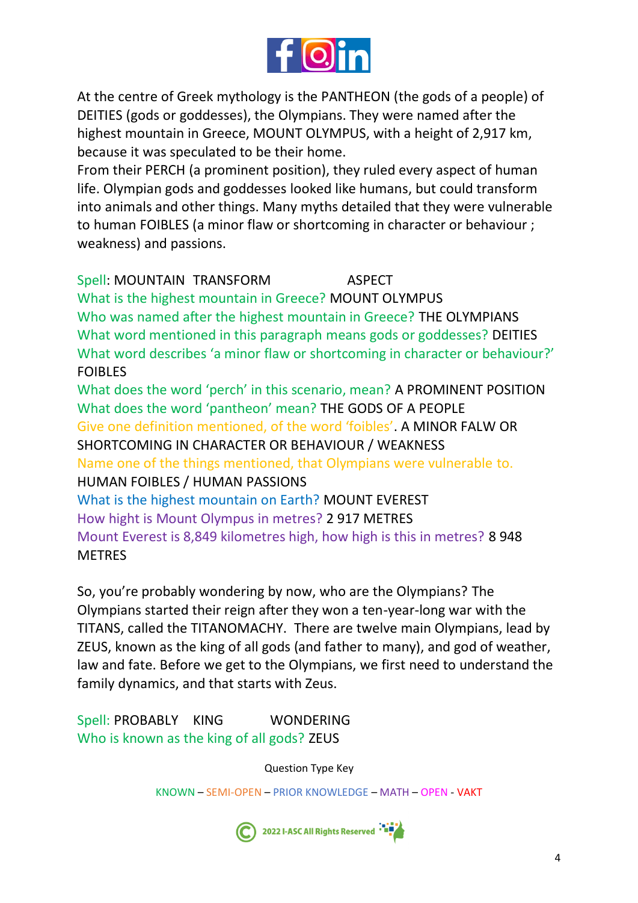

At the centre of Greek mythology is the PANTHEON (the gods of a people) of DEITIES (gods or goddesses), the Olympians. They were named after the highest mountain in Greece, MOUNT OLYMPUS, with a height of 2,917 km, because it was speculated to be their home.

From their PERCH (a prominent position), they ruled every aspect of human life. Olympian gods and goddesses looked like humans, but could transform into animals and other things. Many myths detailed that they were vulnerable to human FOIBLES (a minor flaw or shortcoming in character or behaviour ; weakness) and passions.

## Spell: MOUNTAIN TRANSFORM ASPECT What is the highest mountain in Greece? MOUNT OLYMPUS Who was named after the highest mountain in Greece? THE OLYMPIANS What word mentioned in this paragraph means gods or goddesses? DEITIES What word describes 'a minor flaw or shortcoming in character or behaviour?' FOIBLES What does the word 'perch' in this scenario, mean? A PROMINENT POSITION What does the word 'pantheon' mean? THE GODS OF A PEOPLE Give one definition mentioned, of the word 'foibles'. A MINOR FALW OR SHORTCOMING IN CHARACTER OR BEHAVIOUR / WEAKNESS Name one of the things mentioned, that Olympians were vulnerable to. HUMAN FOIBLES / HUMAN PASSIONS What is the highest mountain on Earth? MOUNT EVEREST How hight is Mount Olympus in metres? 2 917 METRES Mount Everest is 8,849 kilometres high, how high is this in metres? 8 948 **METRES**

So, you're probably wondering by now, who are the Olympians? The Olympians started their reign after they won a ten-year-long war with the TITANS, called the TITANOMACHY. There are twelve main Olympians, lead by ZEUS, known as the king of all gods (and father to many), and god of weather, law and fate. Before we get to the Olympians, we first need to understand the family dynamics, and that starts with Zeus.

Spell: PROBABLY KING WONDERING Who is known as the king of all gods? ZEUS

Question Type Key

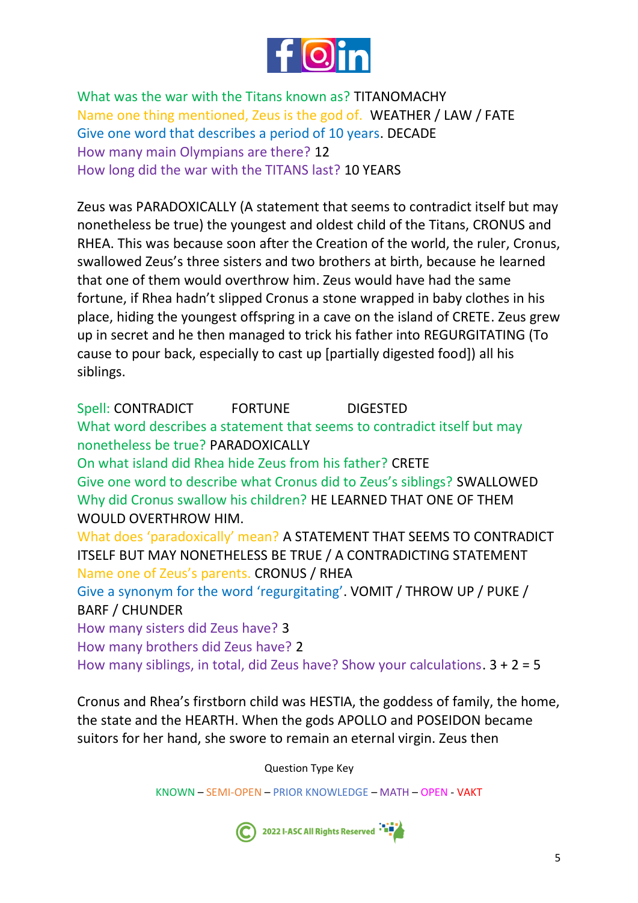

What was the war with the Titans known as? TITANOMACHY Name one thing mentioned, Zeus is the god of. WEATHER / LAW / FATE Give one word that describes a period of 10 years. DECADE How many main Olympians are there? 12 How long did the war with the TITANS last? 10 YEARS

Zeus was PARADOXICALLY (A statement that seems to contradict itself but may nonetheless be true) the youngest and oldest child of the Titans, CRONUS and RHEA. This was because soon after the Creation of the world, the ruler, Cronus, swallowed Zeus's three sisters and two brothers at birth, because he learned that one of them would overthrow him. Zeus would have had the same fortune, if Rhea hadn't slipped Cronus a stone wrapped in baby clothes in his place, hiding the youngest offspring in a cave on the island of CRETE. Zeus grew up in secret and he then managed to trick his father into REGURGITATING (To cause to pour back, especially to cast up [partially digested food]) all his siblings.

Spell: CONTRADICT FORTUNE DIGESTED What word describes a statement that seems to contradict itself but may nonetheless be true? PARADOXICALLY On what island did Rhea hide Zeus from his father? CRETE Give one word to describe what Cronus did to Zeus's siblings? SWALLOWED Why did Cronus swallow his children? HE LEARNED THAT ONE OF THEM WOULD OVERTHROW HIM. What does 'paradoxically' mean? A STATEMENT THAT SEEMS TO CONTRADICT ITSELF BUT MAY NONETHELESS BE TRUE / A CONTRADICTING STATEMENT Name one of Zeus's parents. CRONUS / RHEA Give a synonym for the word 'regurgitating'. VOMIT / THROW UP / PUKE / BARF / CHUNDER How many sisters did Zeus have? 3 How many brothers did Zeus have? 2 How many siblings, in total, did Zeus have? Show your calculations.  $3 + 2 = 5$ 

Cronus and Rhea's firstborn child was HESTIA, the goddess of family, the home, the state and the HEARTH. When the gods APOLLO and POSEIDON became suitors for her hand, she swore to remain an eternal virgin. Zeus then

Question Type Key

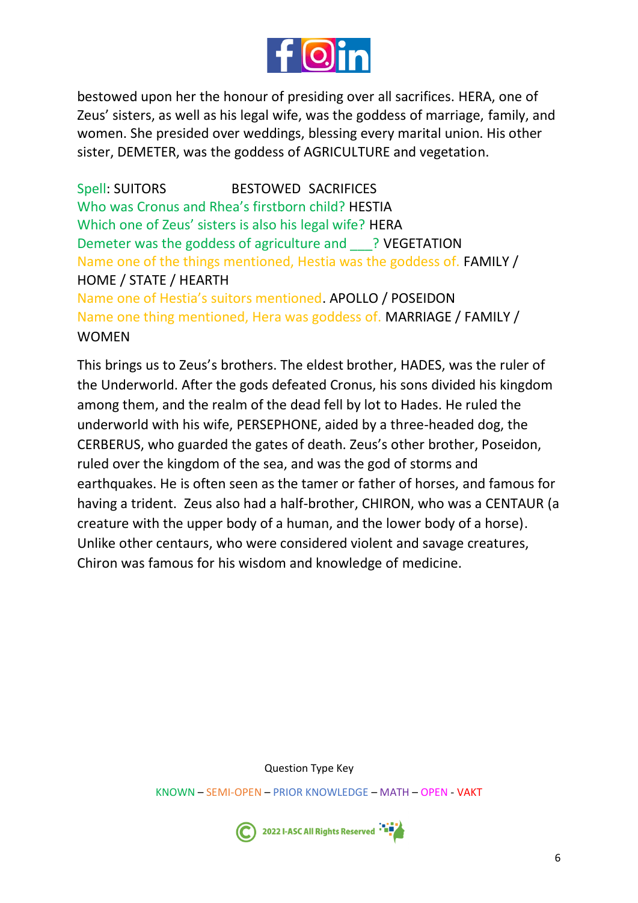

bestowed upon her the honour of presiding over all sacrifices. HERA, one of Zeus' sisters, as well as his legal wife, was the goddess of marriage, family, and women. She presided over weddings, blessing every marital union. His other sister, DEMETER, was the goddess of AGRICULTURE and vegetation.

Spell: SUITORS BESTOWED SACRIFICES Who was Cronus and Rhea's firstborn child? HESTIA Which one of Zeus' sisters is also his legal wife? HERA Demeter was the goddess of agriculture and \_\_\_? VEGETATION Name one of the things mentioned, Hestia was the goddess of. FAMILY / HOME / STATE / HEARTH Name one of Hestia's suitors mentioned. APOLLO / POSEIDON Name one thing mentioned, Hera was goddess of. MARRIAGE / FAMILY / WOMEN

This brings us to Zeus's brothers. The eldest brother, HADES, was the ruler of the Underworld. After the gods defeated Cronus, his sons divided his kingdom among them, and the realm of the dead fell by lot to Hades. He ruled the underworld with his wife, PERSEPHONE, aided by a three-headed dog, the CERBERUS, who guarded the gates of death. Zeus's other brother, Poseidon, ruled over the kingdom of the sea, and was the god of storms and earthquakes. He is often seen as the tamer or father of horses, and famous for having a trident. Zeus also had a half-brother, CHIRON, who was a CENTAUR (a creature with the upper body of a human, and the lower body of a horse). Unlike other centaurs, who were considered violent and savage creatures, Chiron was famous for his wisdom and knowledge of medicine.

Question Type Key

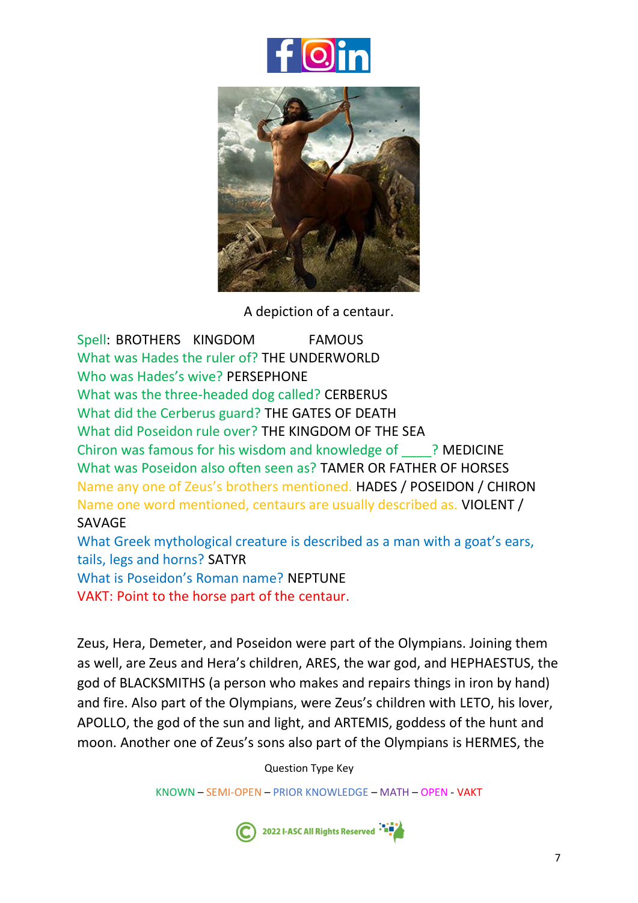



A depiction of a centaur.

Spell: BROTHERS KINGDOM FAMOUS What was Hades the ruler of? THE UNDERWORLD Who was Hades's wive? PERSEPHONE What was the three-headed dog called? CERBERUS What did the Cerberus guard? THE GATES OF DEATH What did Poseidon rule over? THE KINGDOM OF THE SEA Chiron was famous for his wisdom and knowledge of \_\_\_\_? MEDICINE What was Poseidon also often seen as? TAMER OR FATHER OF HORSES Name any one of Zeus's brothers mentioned. HADES / POSEIDON / CHIRON Name one word mentioned, centaurs are usually described as. VIOLENT / SAVAGE What Greek mythological creature is described as a man with a goat's ears, tails, legs and horns? SATYR

What is Poseidon's Roman name? NEPTUNE

VAKT: Point to the horse part of the centaur.

Zeus, Hera, Demeter, and Poseidon were part of the Olympians. Joining them as well, are Zeus and Hera's children, ARES, the war god, and HEPHAESTUS, the god of BLACKSMITHS (a person who makes and repairs things in iron by hand) and fire. Also part of the Olympians, were Zeus's children with LETO, his lover, APOLLO, the god of the sun and light, and ARTEMIS, goddess of the hunt and moon. Another one of Zeus's sons also part of the Olympians is HERMES, the

Question Type Key

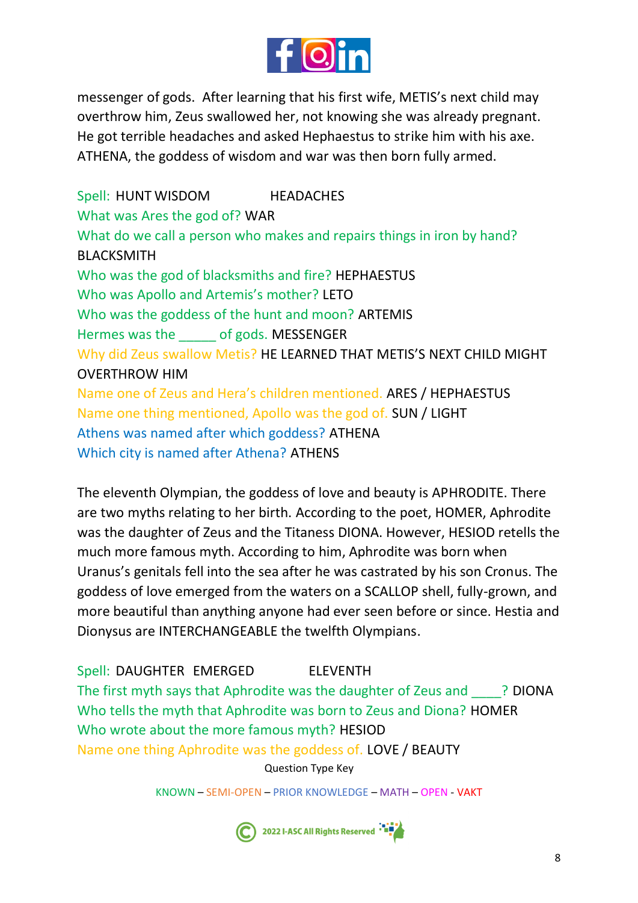

messenger of gods. After learning that his first wife, METIS's next child may overthrow him, Zeus swallowed her, not knowing she was already pregnant. He got terrible headaches and asked Hephaestus to strike him with his axe. ATHENA, the goddess of wisdom and war was then born fully armed.

Spell: HUNT WISDOM HEADACHES What was Ares the god of? WAR What do we call a person who makes and repairs things in iron by hand? BLACKSMITH Who was the god of blacksmiths and fire? HEPHAESTUS Who was Apollo and Artemis's mother? LETO Who was the goddess of the hunt and moon? ARTEMIS Hermes was the \_\_\_\_\_ of gods. MESSENGER Why did Zeus swallow Metis? HE LEARNED THAT METIS'S NEXT CHILD MIGHT OVERTHROW HIM Name one of Zeus and Hera's children mentioned. ARES / HEPHAESTUS Name one thing mentioned, Apollo was the god of. SUN / LIGHT Athens was named after which goddess? ATHENA Which city is named after Athena? ATHENS

The eleventh Olympian, the goddess of love and beauty is APHRODITE. There are two myths relating to her birth. According to the poet, HOMER, Aphrodite was the daughter of Zeus and the Titaness DIONA. However, HESIOD retells the much more famous myth. According to him, Aphrodite was born when Uranus's genitals fell into the sea after he was castrated by his son Cronus. The goddess of love emerged from the waters on a SCALLOP shell, fully-grown, and more beautiful than anything anyone had ever seen before or since. Hestia and Dionysus are INTERCHANGEABLE the twelfth Olympians.

Spell: DAUGHTER EMERGED ELEVENTH The first myth says that Aphrodite was the daughter of Zeus and <br>
PlONA Who tells the myth that Aphrodite was born to Zeus and Diona? HOMER Who wrote about the more famous myth? HESIOD

Name one thing Aphrodite was the goddess of. LOVE / BEAUTY

Question Type Key

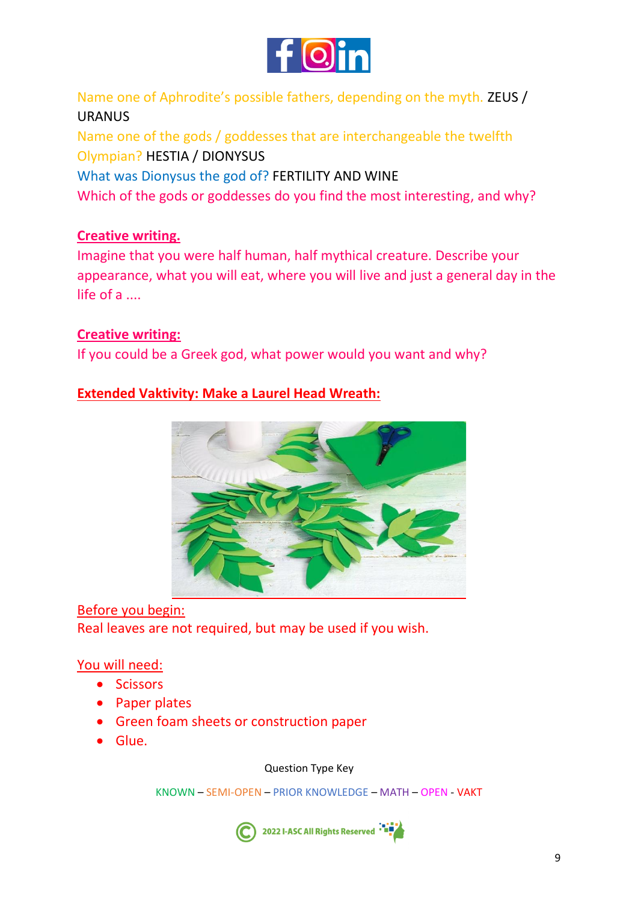

Name one of Aphrodite's possible fathers, depending on the myth. ZEUS / URANUS

Name one of the gods / goddesses that are interchangeable the twelfth Olympian? HESTIA / DIONYSUS What was Dionysus the god of? FERTILITY AND WINE Which of the gods or goddesses do you find the most interesting, and why?

### **Creative writing.**

Imagine that you were half human, half mythical creature. Describe your appearance, what you will eat, where you will live and just a general day in the life of a ....

### **Creative writing:**

If you could be a Greek god, what power would you want and why?

### **Extended Vaktivity: Make a Laurel Head Wreath:**



Before you begin: Real leaves are not required, but may be used if you wish.

#### You will need:

- Scissors
- Paper plates
- Green foam sheets or construction paper
- Glue.

Question Type Key

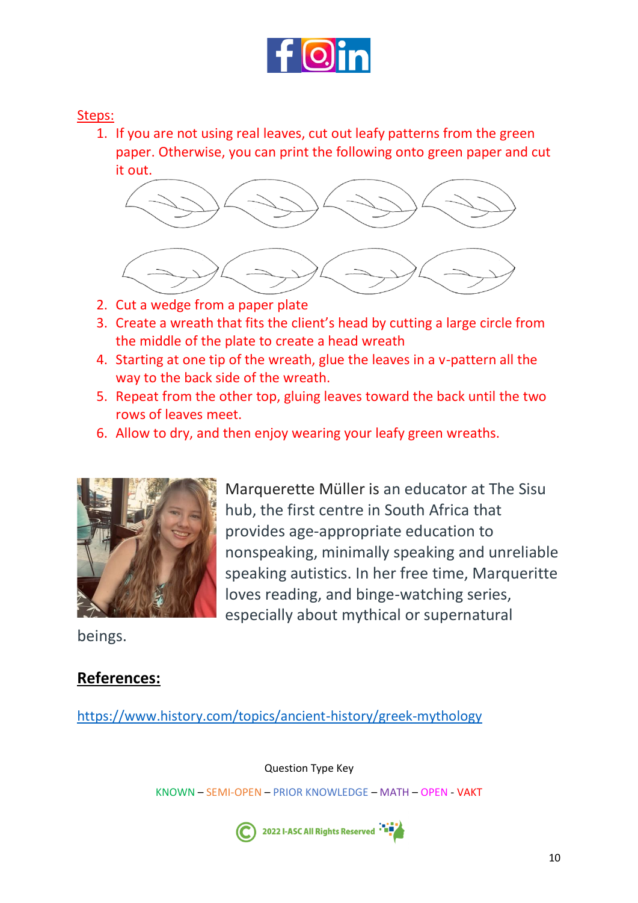

#### Steps:

1. If you are not using real leaves, cut out leafy patterns from the green paper. Otherwise, you can print the following onto green paper and cut it out.



- 2. Cut a wedge from a paper plate
- 3. Create a wreath that fits the client's head by cutting a large circle from the middle of the plate to create a head wreath
- 4. Starting at one tip of the wreath, glue the leaves in a v-pattern all the way to the back side of the wreath.
- 5. Repeat from the other top, gluing leaves toward the back until the two rows of leaves meet.
- 6. Allow to dry, and then enjoy wearing your leafy green wreaths.



Marquerette Müller is an educator at The Sisu hub, the first centre in South Africa that provides age-appropriate education to nonspeaking, minimally speaking and unreliable speaking autistics. In her free time, Marqueritte loves reading, and binge-watching series, especially about mythical or supernatural

beings.

### **References:**

<https://www.history.com/topics/ancient-history/greek-mythology>

Question Type Key